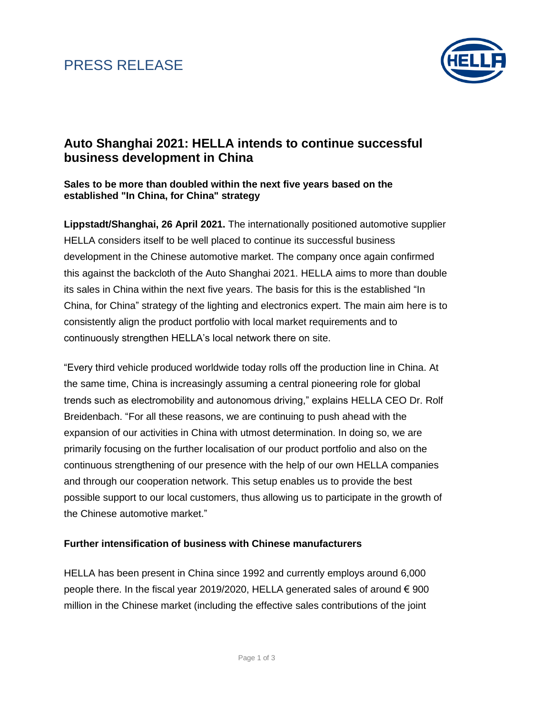### PRESS RELEASE



### **Auto Shanghai 2021: HELLA intends to continue successful business development in China**

### **Sales to be more than doubled within the next five years based on the established "In China, for China" strategy**

**Lippstadt/Shanghai, 26 April 2021.** The internationally positioned automotive supplier HELLA considers itself to be well placed to continue its successful business development in the Chinese automotive market. The company once again confirmed this against the backcloth of the Auto Shanghai 2021. HELLA aims to more than double its sales in China within the next five years. The basis for this is the established "In China, for China" strategy of the lighting and electronics expert. The main aim here is to consistently align the product portfolio with local market requirements and to continuously strengthen HELLA's local network there on site.

"Every third vehicle produced worldwide today rolls off the production line in China. At the same time, China is increasingly assuming a central pioneering role for global trends such as electromobility and autonomous driving," explains HELLA CEO Dr. Rolf Breidenbach. "For all these reasons, we are continuing to push ahead with the expansion of our activities in China with utmost determination. In doing so, we are primarily focusing on the further localisation of our product portfolio and also on the continuous strengthening of our presence with the help of our own HELLA companies and through our cooperation network. This setup enables us to provide the best possible support to our local customers, thus allowing us to participate in the growth of the Chinese automotive market."

### **Further intensification of business with Chinese manufacturers**

HELLA has been present in China since 1992 and currently employs around 6,000 people there. In the fiscal year 2019/2020, HELLA generated sales of around € 900 million in the Chinese market (including the effective sales contributions of the joint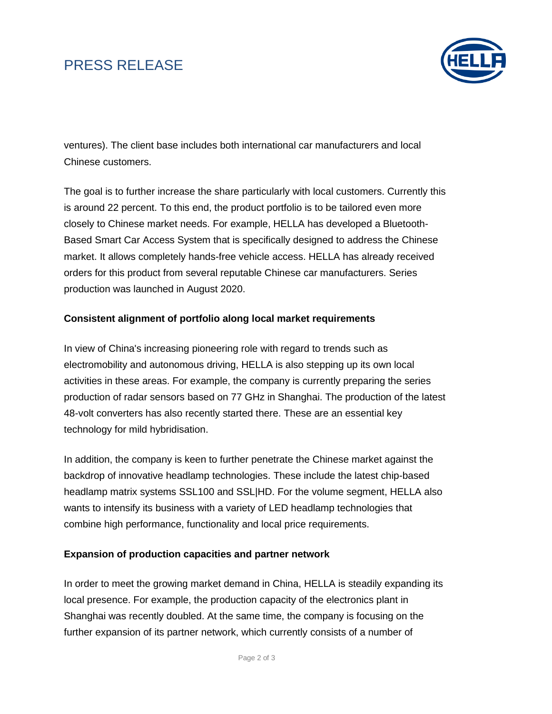# PRESS RELEASE



ventures). The client base includes both international car manufacturers and local Chinese customers.

The goal is to further increase the share particularly with local customers. Currently this is around 22 percent. To this end, the product portfolio is to be tailored even more closely to Chinese market needs. For example, HELLA has developed a Bluetooth-Based Smart Car Access System that is specifically designed to address the Chinese market. It allows completely hands-free vehicle access. HELLA has already received orders for this product from several reputable Chinese car manufacturers. Series production was launched in August 2020.

### **Consistent alignment of portfolio along local market requirements**

In view of China's increasing pioneering role with regard to trends such as electromobility and autonomous driving, HELLA is also stepping up its own local activities in these areas. For example, the company is currently preparing the series production of radar sensors based on 77 GHz in Shanghai. The production of the latest 48-volt converters has also recently started there. These are an essential key technology for mild hybridisation.

In addition, the company is keen to further penetrate the Chinese market against the backdrop of innovative headlamp technologies. These include the latest chip-based headlamp matrix systems SSL100 and SSL|HD. For the volume segment, HELLA also wants to intensify its business with a variety of LED headlamp technologies that combine high performance, functionality and local price requirements.

### **Expansion of production capacities and partner network**

In order to meet the growing market demand in China, HELLA is steadily expanding its local presence. For example, the production capacity of the electronics plant in Shanghai was recently doubled. At the same time, the company is focusing on the further expansion of its partner network, which currently consists of a number of